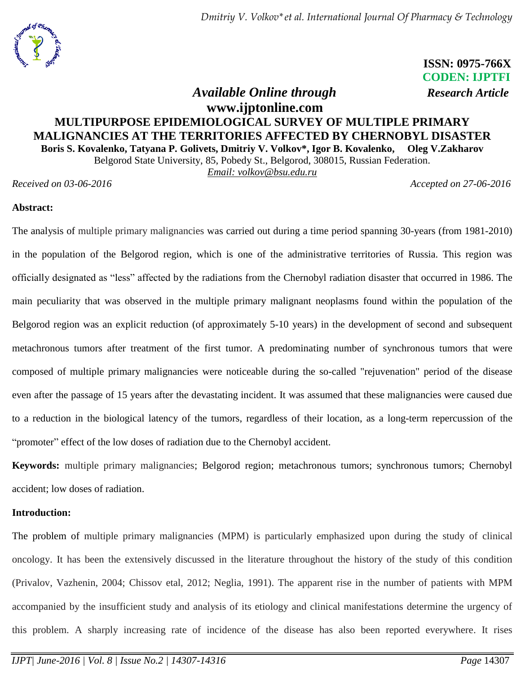*Dmitriy V. Volkov\*et al. International Journal Of Pharmacy & Technology*



 **ISSN: 0975-766X CODEN: IJPTFI**

# *Available Online through Research Article* **www.ijptonline.com MULTIPURPOSE EPIDEMIOLOGICAL SURVEY OF MULTIPLE PRIMARY MALIGNANCIES AT THE TERRITORIES AFFECTED BY CHERNOBYL DISASTER Boris S. Kovalenko, Tatyana P. Golivets, Dmitriy V. Volkov\*, Igor B. Kovalenko, Oleg V.Zakharov**

Belgorod State University, 85, Pobedy St., Belgorod, 308015, Russian Federation.

*Email: volkov@bsu.edu.ru*

*Received on 03-06-2016 Accepted on 27-06-2016*

## **Abstract:**

The analysis of multiple primary malignancies was carried out during a time period spanning 30-years (from 1981-2010) in the population of the Belgorod region, which is one of the administrative territories of Russia. This region was officially designated as "less" affected by the radiations from the Chernobyl radiation disaster that occurred in 1986. The main peculiarity that was observed in the multiple primary malignant neoplasms found within the population of the Belgorod region was an explicit reduction (of approximately 5-10 years) in the development of second and subsequent metachronous tumors after treatment of the first tumor. A predominating number of synchronous tumors that were composed of multiple primary malignancies were noticeable during the so-called "rejuvenation" period of the disease even after the passage of 15 years after the devastating incident. It was assumed that these malignancies were caused due to a reduction in the biological latency of the tumors, regardless of their location, as a long-term repercussion of the "promoter" effect of the low doses of radiation due to the Chernobyl accident.

**Keywords:** multiple primary malignancies; Belgorod region; metachronous tumors; synchronous tumors; Chernobyl accident; low doses of radiation.

## **Introduction:**

The problem of multiple primary malignancies (MPM) is particularly emphasized upon during the study of clinical oncology. It has been the extensively discussed in the literature throughout the history of the study of this condition (Privalov, Vazhenin, 2004; Chissov etal, 2012; Neglia, 1991). The apparent rise in the number of patients with MPM accompanied by the insufficient study and analysis of its etiology and clinical manifestations determine the urgency of this problem. A sharply increasing rate of incidence of the disease has also been reported everywhere. It rises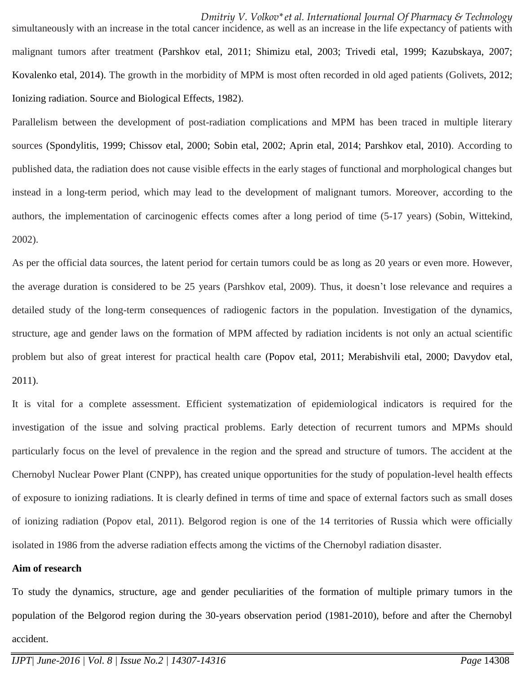*Dmitriy V. Volkov\*et al. International Journal Of Pharmacy & Technology* simultaneously with an increase in the total cancer incidence, as well as an increase in the life expectancy of patients with malignant tumors after treatment (Parshkov etal, 2011; Shimizu etal, 2003; Trivedi etal, 1999; Kazubskaya, 2007; Kovalenko etal, 2014). The growth in the morbidity of MPM is most often recorded in old aged patients (Golivets, 2012; Ionizing radiation. Source and Biological Effects, 1982).

Parallelism between the development of post-radiation complications and MPM has been traced in multiple literary sources (Spondylitis, 1999; Chissov etal, 2000; Sobin etal, 2002; Aprin etal, 2014; Parshkov etal, 2010). According to published data, the radiation does not cause visible effects in the early stages of functional and morphological changes but instead in a long-term period, which may lead to the development of malignant tumors. Moreover, according to the authors, the implementation of carcinogenic effects comes after a long period of time (5-17 years) (Sobin, Wittekind, 2002).

As per the official data sources, the latent period for certain tumors could be as long as 20 years or even more. However, the average duration is considered to be 25 years (Parshkov etal, 2009). Thus, it doesn't lose relevance and requires a detailed study of the long-term consequences of radiogenic factors in the population. Investigation of the dynamics, structure, age and gender laws on the formation of MPM affected by radiation incidents is not only an actual scientific problem but also of great interest for practical health care (Popov etal, 2011; Merabishvili etal, 2000; Davydov etal, 2011).

It is vital for a complete assessment. Efficient systematization of epidemiological indicators is required for the investigation of the issue and solving practical problems. Early detection of recurrent tumors and MPMs should particularly focus on the level of prevalence in the region and the spread and structure of tumors. The accident at the Chernobyl Nuclear Power Plant (CNPP), has created unique opportunities for the study of population-level health effects of exposure to ionizing radiations. It is clearly defined in terms of time and space of external factors such as small doses of ionizing radiation (Popov etal, 2011). Belgorod region is one of the 14 territories of Russia which were officially isolated in 1986 from the adverse radiation effects among the victims of the Chernobyl radiation disaster.

## **Aim of research**

To study the dynamics, structure, age and gender peculiarities of the formation of multiple primary tumors in the population of the Belgorod region during the 30-years observation period (1981-2010), before and after the Chernobyl accident.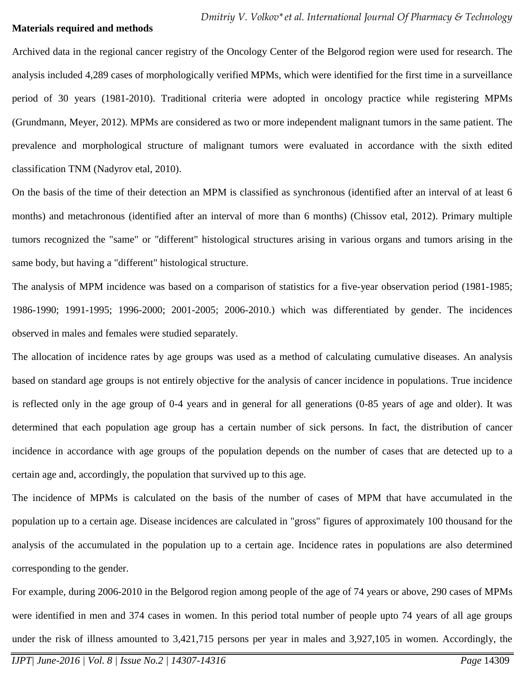## **Materials required and methods**

Archived data in the regional cancer registry of the Oncology Center of the Belgorod region were used for research. The analysis included 4,289 cases of morphologically verified MPMs, which were identified for the first time in a surveillance period of 30 years (1981-2010). Traditional criteria were adopted in oncology practice while registering MPMs (Grundmann, Meyer, 2012). MPMs are considered as two or more independent malignant tumors in the same patient. The prevalence and morphological structure of malignant tumors were evaluated in accordance with the sixth edited classification TNM (Nadyrov etal, 2010).

On the basis of the time of their detection an MPM is classified as synchronous (identified after an interval of at least 6 months) and metachronous (identified after an interval of more than 6 months) (Chissov etal, 2012). Primary multiple tumors recognized the "same" or "different" histological structures arising in various organs and tumors arising in the same body, but having a "different" histological structure.

The analysis of MPM incidence was based on a comparison of statistics for a five-year observation period (1981-1985; 1986-1990; 1991-1995; 1996-2000; 2001-2005; 2006-2010.) which was differentiated by gender. The incidences observed in males and females were studied separately.

The allocation of incidence rates by age groups was used as a method of calculating cumulative diseases. An analysis based on standard age groups is not entirely objective for the analysis of cancer incidence in populations. True incidence is reflected only in the age group of 0-4 years and in general for all generations (0-85 years of age and older). It was determined that each population age group has a certain number of sick persons. In fact, the distribution of cancer incidence in accordance with age groups of the population depends on the number of cases that are detected up to a certain age and, accordingly, the population that survived up to this age.

The incidence of MPMs is calculated on the basis of the number of cases of MPM that have accumulated in the population up to a certain age. Disease incidences are calculated in "gross" figures of approximately 100 thousand for the analysis of the accumulated in the population up to a certain age. Incidence rates in populations are also determined corresponding to the gender.

For example, during 2006-2010 in the Belgorod region among people of the age of 74 years or above, 290 cases of MPMs were identified in men and 374 cases in women. In this period total number of people upto 74 years of all age groups under the risk of illness amounted to 3,421,715 persons per year in males and 3,927,105 in women. Accordingly, the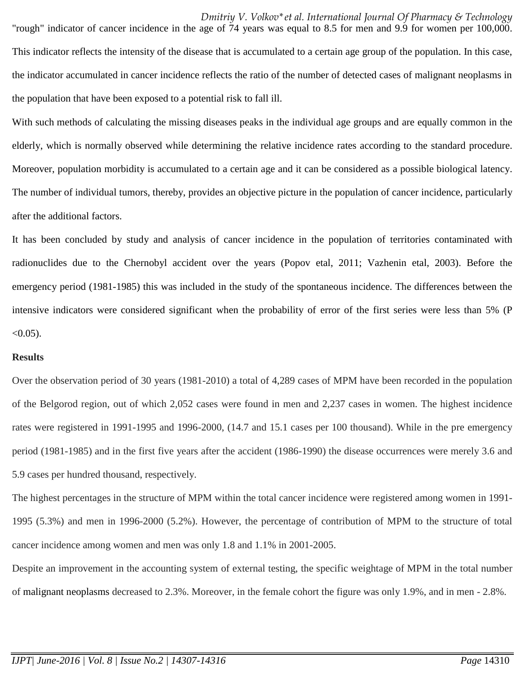"rough" indicator of cancer incidence in the age of 74 years was equal to 8.5 for men and 9.9 for women per 100,000. This indicator reflects the intensity of the disease that is accumulated to a certain age group of the population. In this case, the indicator accumulated in cancer incidence reflects the ratio of the number of detected cases of malignant neoplasms in the population that have been exposed to a potential risk to fall ill.

With such methods of calculating the missing diseases peaks in the individual age groups and are equally common in the elderly, which is normally observed while determining the relative incidence rates according to the standard procedure. Moreover, population morbidity is accumulated to a certain age and it can be considered as a possible biological latency. The number of individual tumors, thereby, provides an objective picture in the population of cancer incidence, particularly after the additional factors.

It has been concluded by study and analysis of cancer incidence in the population of territories contaminated with radionuclides due to the Chernobyl accident over the years (Popov etal, 2011; Vazhenin etal, 2003). Before the emergency period (1981-1985) this was included in the study of the spontaneous incidence. The differences between the intensive indicators were considered significant when the probability of error of the first series were less than 5% (P  $< 0.05$ ).

## **Results**

Over the observation period of 30 years (1981-2010) a total of 4,289 cases of MPM have been recorded in the population of the Belgorod region, out of which 2,052 cases were found in men and 2,237 cases in women. The highest incidence rates were registered in 1991-1995 and 1996-2000, (14.7 and 15.1 cases per 100 thousand). While in the pre emergency period (1981-1985) and in the first five years after the accident (1986-1990) the disease occurrences were merely 3.6 and 5.9 cases per hundred thousand, respectively.

The highest percentages in the structure of MPM within the total cancer incidence were registered among women in 1991- 1995 (5.3%) and men in 1996-2000 (5.2%). However, the percentage of contribution of MPM to the structure of total cancer incidence among women and men was only 1.8 and 1.1% in 2001-2005.

Despite an improvement in the accounting system of external testing, the specific weightage of MPM in the total number of malignant neoplasms decreased to 2.3%. Moreover, in the female cohort the figure was only 1.9%, and in men - 2.8%.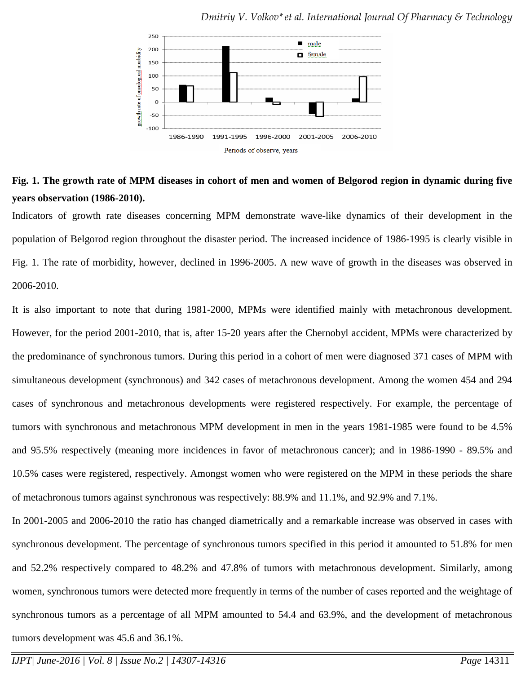*Dmitriy V. Volkov\*et al. International Journal Of Pharmacy & Technology*



# **Fig. 1. The growth rate of MPM diseases in cohort of men and women of Belgorod region in dynamic during five years observation (1986-2010).**

Indicators of growth rate diseases concerning MPM demonstrate wave-like dynamics of their development in the population of Belgorod region throughout the disaster period. The increased incidence of 1986-1995 is clearly visible in Fig. 1. The rate of morbidity, however, declined in 1996-2005. A new wave of growth in the diseases was observed in 2006-2010.

It is also important to note that during 1981-2000, MPMs were identified mainly with metachronous development. However, for the period 2001-2010, that is, after 15-20 years after the Chernobyl accident, MPMs were characterized by the predominance of synchronous tumors. During this period in a cohort of men were diagnosed 371 cases of MPM with simultaneous development (synchronous) and 342 cases of metachronous development. Among the women 454 and 294 cases of synchronous and metachronous developments were registered respectively. For example, the percentage of tumors with synchronous and metachronous MPM development in men in the years 1981-1985 were found to be 4.5% and 95.5% respectively (meaning more incidences in favor of metachronous cancer); and in 1986-1990 - 89.5% and 10.5% cases were registered, respectively. Amongst women who were registered on the MPM in these periods the share of metachronous tumors against synchronous was respectively: 88.9% and 11.1%, and 92.9% and 7.1%.

In 2001-2005 and 2006-2010 the ratio has changed diametrically and a remarkable increase was observed in cases with synchronous development. The percentage of synchronous tumors specified in this period it amounted to 51.8% for men and 52.2% respectively compared to 48.2% and 47.8% of tumors with metachronous development. Similarly, among women, synchronous tumors were detected more frequently in terms of the number of cases reported and the weightage of synchronous tumors as a percentage of all MPM amounted to 54.4 and 63.9%, and the development of metachronous tumors development was 45.6 and 36.1%.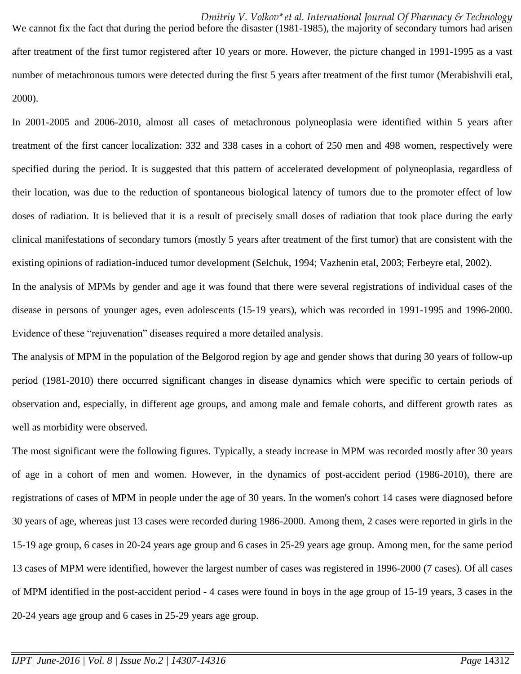We cannot fix the fact that during the period before the disaster (1981-1985), the majority of secondary tumors had arisen after treatment of the first tumor registered after 10 years or more. However, the picture changed in 1991-1995 as a vast number of metachronous tumors were detected during the first 5 years after treatment of the first tumor (Merabishvili etal, 2000).

In 2001-2005 and 2006-2010, almost all cases of metachronous polyneoplasia were identified within 5 years after treatment of the first cancer localization: 332 and 338 cases in a cohort of 250 men and 498 women, respectively were specified during the period. It is suggested that this pattern of accelerated development of polyneoplasia, regardless of their location, was due to the reduction of spontaneous biological latency of tumors due to the promoter effect of low doses of radiation. It is believed that it is a result of precisely small doses of radiation that took place during the early clinical manifestations of secondary tumors (mostly 5 years after treatment of the first tumor) that are consistent with the existing opinions of radiation-induced tumor development (Selchuk, 1994; Vazhenin etal, 2003; Ferbeyre etal, 2002).

In the analysis of MPMs by gender and age it was found that there were several registrations of individual cases of the disease in persons of younger ages, even adolescents (15-19 years), which was recorded in 1991-1995 and 1996-2000. Evidence of these "rejuvenation" diseases required a more detailed analysis.

The analysis of MPM in the population of the Belgorod region by age and gender shows that during 30 years of follow-up period (1981-2010) there occurred significant changes in disease dynamics which were specific to certain periods of observation and, especially, in different age groups, and among male and female cohorts, and different growth rates as well as morbidity were observed.

The most significant were the following figures. Typically, a steady increase in MPM was recorded mostly after 30 years of age in a cohort of men and women. However, in the dynamics of post-accident period (1986-2010), there are registrations of cases of MPM in people under the age of 30 years. In the women's cohort 14 cases were diagnosed before 30 years of age, whereas just 13 cases were recorded during 1986-2000. Among them, 2 cases were reported in girls in the 15-19 age group, 6 cases in 20-24 years age group and 6 cases in 25-29 years age group. Among men, for the same period 13 cases of MPM were identified, however the largest number of cases was registered in 1996-2000 (7 cases). Of all cases of MPM identified in the post-accident period - 4 cases were found in boys in the age group of 15-19 years, 3 cases in the 20-24 years age group and 6 cases in 25-29 years age group.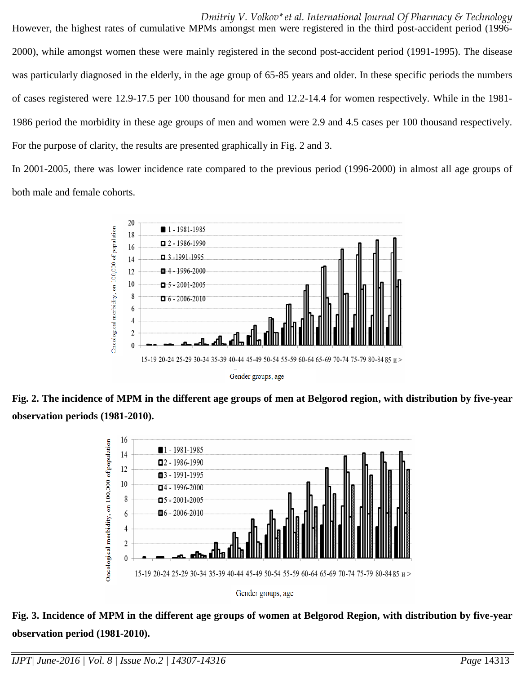*Dmitriy V. Volkov\*et al. International Journal Of Pharmacy & Technology* However, the highest rates of cumulative MPMs amongst men were registered in the third post-accident period (1996- 2000), while amongst women these were mainly registered in the second post-accident period (1991-1995). The disease was particularly diagnosed in the elderly, in the age group of 65-85 years and older. In these specific periods the numbers of cases registered were 12.9-17.5 per 100 thousand for men and 12.2-14.4 for women respectively. While in the 1981- 1986 period the morbidity in these age groups of men and women were 2.9 and 4.5 cases per 100 thousand respectively. For the purpose of clarity, the results are presented graphically in Fig. 2 and 3.

In 2001-2005, there was lower incidence rate compared to the previous period (1996-2000) in almost all age groups of both male and female cohorts.



**Fig. 2. The incidence of MPM in the different age groups of men at Belgorod region, with distribution by five-year observation periods (1981-2010).**



**Fig. 3. Incidence of MPM in the different age groups of women at Belgorod Region, with distribution by five-year observation period (1981-2010).**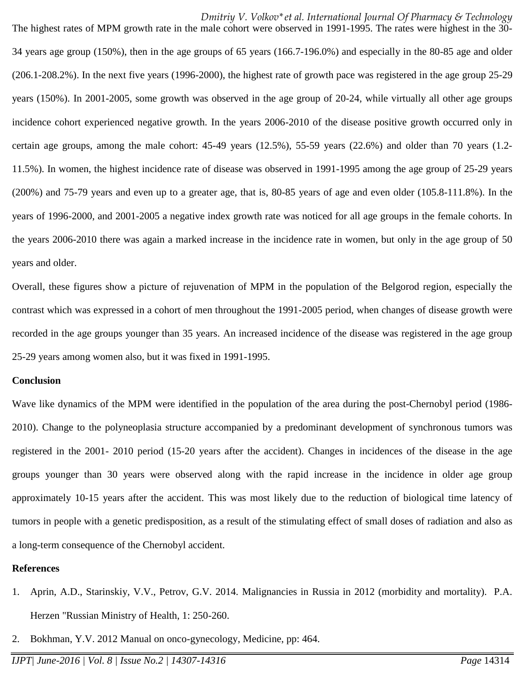*Dmitriy V. Volkov\*et al. International Journal Of Pharmacy & Technology*

The highest rates of MPM growth rate in the male cohort were observed in 1991-1995. The rates were highest in the 30- 34 years age group (150%), then in the age groups of 65 years (166.7-196.0%) and especially in the 80-85 age and older (206.1-208.2%). In the next five years (1996-2000), the highest rate of growth pace was registered in the age group 25-29 years (150%). In 2001-2005, some growth was observed in the age group of 20-24, while virtually all other age groups incidence cohort experienced negative growth. In the years 2006-2010 of the disease positive growth occurred only in certain age groups, among the male cohort:  $45-49$  years  $(12.5\%)$ ,  $55-59$  years  $(22.6\%)$  and older than 70 years  $(1.2-$ 11.5%). In women, the highest incidence rate of disease was observed in 1991-1995 among the age group of 25-29 years  $(200\%)$  and 75-79 years and even up to a greater age, that is,  $80-85$  years of age and even older  $(105.8-111.8\%)$ . In the years of 1996-2000, and 2001-2005 a negative index growth rate was noticed for all age groups in the female cohorts. In the years 2006-2010 there was again a marked increase in the incidence rate in women, but only in the age group of 50 years and older.

Overall, these figures show a picture of rejuvenation of MPM in the population of the Belgorod region, especially the contrast which was expressed in a cohort of men throughout the 1991-2005 period, when changes of disease growth were recorded in the age groups younger than 35 years. An increased incidence of the disease was registered in the age group 25-29 years among women also, but it was fixed in 1991-1995.

## **Conclusion**

Wave like dynamics of the MPM were identified in the population of the area during the post-Chernobyl period (1986- 2010). Change to the polyneoplasia structure accompanied by a predominant development of synchronous tumors was registered in the 2001- 2010 period (15-20 years after the accident). Changes in incidences of the disease in the age groups younger than 30 years were observed along with the rapid increase in the incidence in older age group approximately 10-15 years after the accident. This was most likely due to the reduction of biological time latency of tumors in people with a genetic predisposition, as a result of the stimulating effect of small doses of radiation and also as a long-term consequence of the Chernobyl accident.

#### **References**

- 1. Aprin, A.D., Starinskiy, V.V., Petrov, G.V. 2014. Malignancies in Russia in 2012 (morbidity and mortality). P.A. Herzen "Russian Ministry of Health, 1: 250-260.
- 2. Bokhman, Y.V. 2012 Manual on onco-gynecology, Medicine, pp: 464.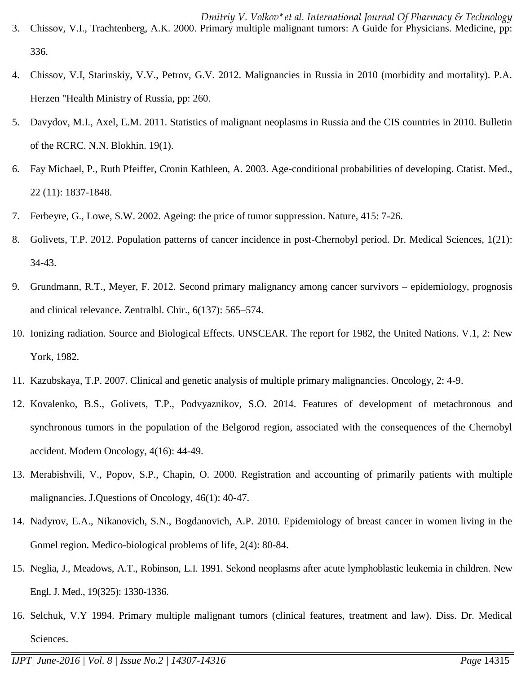- *Dmitriy V. Volkov\*et al. International Journal Of Pharmacy & Technology* 3. Chissov, V.I., Trachtenberg, A.K. 2000. Primary multiple malignant tumors: A Guide for Physicians. Medicine, pp: 336.
- 4. Chissov, V.I, Starinskiy, V.V., Petrov, G.V. 2012. Malignancies in Russia in 2010 (morbidity and mortality). P.A. Herzen "Health Ministry of Russia, pp: 260.
- 5. Davydov, M.I., Axel, E.M. 2011. Statistics of malignant neoplasms in Russia and the CIS countries in 2010. Bulletin of the RCRC. N.N. Blokhin. 19(1).
- 6. Fay Michael, P., Ruth Pfeiffer, Cronin Kathleen, A. 2003. Age-conditional probabilities of developing. Ctatist. Med., 22 (11): 1837-1848.
- 7. Ferbeyre, G., Lowe, S.W. 2002. Ageing: the price of tumor suppression. Nature, 415: 7-26.
- 8. Golivets, T.P. 2012. Population patterns of cancer incidence in post-Chernobyl period. Dr. Medical Sciences, 1(21): 34-43.
- 9. Grundmann, R.T., Meyer, F. 2012. Second primary malignancy among cancer survivors epidemiology, prognosis and clinical relevance. Zentralbl. Chir., 6(137): 565–574.
- 10. Ionizing radiation. Source and Biological Effects. UNSCEAR. The report for 1982, the United Nations. V.1, 2: New York, 1982.
- 11. Kazubskaya, T.P. 2007. Clinical and genetic analysis of multiple primary malignancies. Oncology, 2: 4-9.
- 12. Kovalenko, B.S., Golivets, T.P., Podvyaznikov, S.O. 2014. Features of development of metachronous and synchronous tumors in the population of the Belgorod region, associated with the consequences of the Chernobyl accident. Modern Oncology, 4(16): 44-49.
- 13. Merabishvili, V., Popov, S.P., Chapin, O. 2000. Registration and accounting of primarily patients with multiple malignancies. J.Questions of Oncology, 46(1): 40-47.
- 14. Nadyrov, E.A., Nikanovich, S.N., Bogdanovich, A.P. 2010. Epidemiology of breast cancer in women living in the Gomel region. Medico-biological problems of life, 2(4): 80-84.
- 15. Neglia, J., Meadows, A.T., Robinson, L.I. 1991. Sekond neoplasms after acute lymphoblastic leukemia in children. New Engl. J. Med., 19(325): 1330-1336.
- 16. Selchuk, V.Y 1994. Primary multiple malignant tumors (clinical features, treatment and law). Diss. Dr. Medical Sciences.